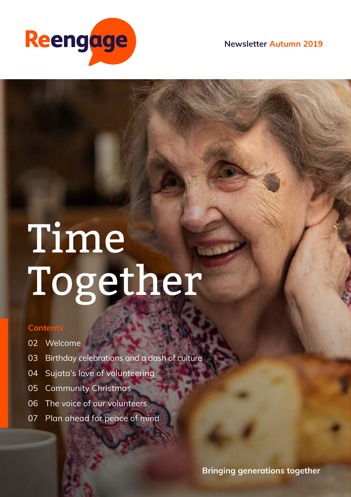

**Newsletter Autumn 2019**

# Time Together

#### **Contents**

- 02 Welcome
- 03 Birthday celebrations and a dash of culture
- 04 Sujata's love of volunteering
- 05 Community Christmas
- 06 The voice of our volunteers
- 07 Plan ahead for peace of mind

**Bringing generations together**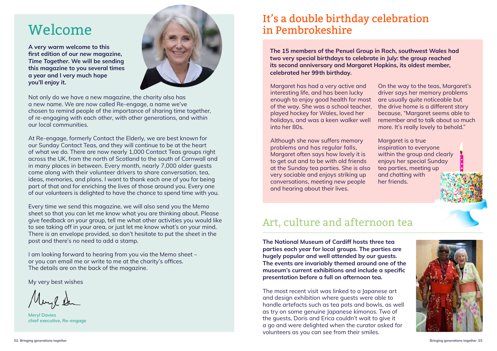Not only do we have a new magazine, the charity also has a new name. We are now called Re-engage, a name we've chosen to remind people of the importance of sharing time together, of re-engaging with each other, with other generations, and within our local communities.

At Re-engage, formerly Contact the Elderly, we are best known for our Sunday Contact Teas, and they will continue to be at the heart of what we do. There are now nearly 1,000 Contact Teas groups right across the UK, from the north of Scotland to the south of Cornwall and in many places in between. Every month, nearly 7,000 older guests come along with their volunteer drivers to share conversation, tea, ideas, memories, and plans. I want to thank each one of you for being part of that and for enriching the lives of those around you. Every one of our volunteers is delighted to have the chance to spend time with you.

Every time we send this magazine, we will also send you the Memo sheet so that you can let me know what you are thinking about. Please give feedback on your group, tell me what other activities you would like to see taking off in your area, or just let me know what's on your mind. There is an envelope provided, so don't hesitate to put the sheet in the post and there's no need to add a stamp.

I am looking forward to hearing from you via the Memo sheet – or you can email me or write to me at the charity's offices. The details are on the back of the magazine.

My very best wishes

**Meryl Davies chief executive, Re-engage** 

**The 15 members of the Penuel Group in Roch, southwest Wales had two very special birthdays to celebrate in July: the group reached its second anniversary and Margaret Hopkins, its oldest member, celebrated her 99th birthday.**

Although she now suffers memory problems and has regular falls, Margaret often says how lovely it is to get out and to be with old friends at the Sunday tea parties. She is also very sociable and enjoys striking up conversations, meeting new people and hearing about their lives.

Margaret has had a very active and interesting life, and has been lucky enough to enjoy good health for most of the way. She was a school teacher, played hockey for Wales, loved her holidays, and was a keen walker well into her 80s. On the way to the teas, Margaret's driver says her memory problems are usually quite noticeable but the drive home is a different story because, "Margaret seems able to remember and to talk about so much more. It's really lovely to behold."

> Margaret is a true inspiration to everyone within the group and clearly enjoys her special Sunday tea parties, meeting up and chatting with her friends.



### Art, culture and afternoon tea

**The National Museum of Cardiff hosts three tea parties each year for local groups. The parties are hugely popular and well attended by our guests. The events are invariably themed around one of the museum's current exhibitions and include a specific presentation before a full on afternoon tea.**

The most recent visit was linked to a Japanese art and design exhibition where guests were able to handle artefacts such as tea pots and bowls, as well as try on some genuine Japanese kimonos. Two of the guests, Doris and Erica couldn't wait to give it a go and were delighted when the curator asked for volunteers as you can see from their smiles.

## It's a double birthday celebration in Pembrokeshire

## Welcome

**A very warm welcome to this first edition of our new magazine,**  *Time Together***. We will be sending this magazine to you several times a year and I very much hope you'll enjoy it.** 

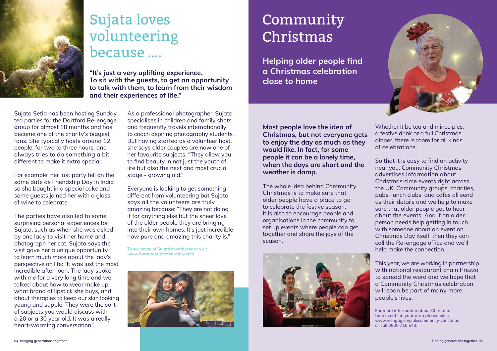**"It's just a very uplifting experience. To sit with the guests, to get an opportunity to talk with them, to learn from their wisdom and their experiences of life."**

Sujata Setia has been hosting Sunday tea parties for the Dartford Re-engage group for almost 18 months and has become one of the charity's biggest fans. She typically hosts around 12 people, for two to three hours, and always tries to do something a bit different to make it extra special.

For example: her last party fell on the same date as Friendship Day in India so she bought in a special cake and some guests joined her with a glass of wine to celebrate.

The parties have also led to some surprising personal experiences for Sujata, such as when she was asked by one lady to visit her home and photograph her cat. Sujata says the visit gave her a unique opportunity to learn much more about the lady's perspective on life: "It was just the most incredible afternoon. The lady spoke with me for a very long time and we talked about how to wear make up, what brand of lipstick she buys, and about therapies to keep our skin looking young and supple. They were the sort of subjects you would discuss with a 20 or a 30 year old. It was a really heart-warming conversation."

As a professional photographer, Sujata specialises in children and family shots and frequently travels internationally to coach aspiring photography students. But having started as a volunteer host, she says older couples are now one of her favourite subjects: "They allow you to find beauty in not just the youth of life but also the next and most crucial stage - growing old."

Everyone is looking to get something different from volunteering but Sujata says all the volunteers are truly amazing because: "They are not doing it for anything else but the sheer love of the older people they are bringing into their own homes. It's just incredible how pure and amazing this charity is."

**To see some of Sujata's work please visit www.butnaturalphotography.com**



**Most people love the idea of Christmas, but not everyone gets to enjoy the day as much as they would like. In fact, for some people it can be a lonely time, when the days are short and the weather is damp.** 

The whole idea behind Community Christmas is to make sure that older people have a place to go to celebrate the festive season. It is also to encourage people and organisations in the community to set up events where people can get together and share the joys of the season.





# Community Christmas

Whether it be tea and mince pies, a festive drink or a full Christmas dinner, there is room for all kinds of celebrations.

So that it is easy to find an activity near you, Community Christmas advertises information about Christmas-time events right across the UK. Community groups, charities, pubs, lunch clubs, and cafes all send us their details and we help to make sure that older people get to hear about the events. And if an older person needs help getting in touch with someone about an event on Christmas Day itself, then they can call the Re-engage office and we'll help make the connection.

This year, we are working in partnership with national restaurant chain Prezzo to spread the word and we hope that a Community Christmas celebration will soon be part of many more people's lives.

**For more information about Christmastime events in your area please visit: www.reengage.org.uk/community-christmas or call 0800 716 543.**



## Sujata loves volunteering because ….

**Helping older people find a Christmas celebration close to home**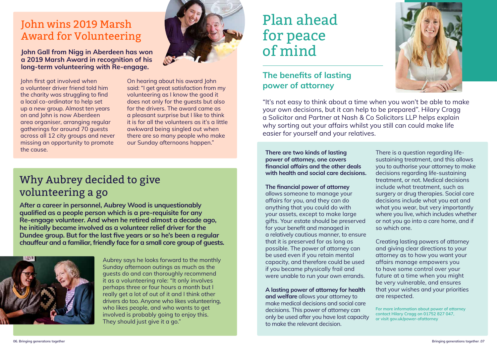#### John wins 2019 Marsh Award for Volunteering

**John Gall from Nigg in Aberdeen has won a 2019 Marsh Award in recognition of his long-term volunteering with Re-engage.** 

John first got involved when a volunteer driver friend told him the charity was struggling to find a local co-ordinator to help set up a new group. Almost ten years on and John is now Aberdeen area organiser, arranging regular gatherings for around 70 guests across all 12 city groups and never missing an opportunity to promote the cause.



Aubrey says he looks forward to the monthly Sunday afternoon outings as much as the guests do and can thoroughly recommend it as a volunteering role: "It only involves perhaps three or four hours a month but I really get a lot of out of it and I think other drivers do too. Anyone who likes volunteering, who likes people, and who wants to get involved is probably going to enjoy this. They should just give it a go."

On hearing about his award John said: "I get great satisfaction from my volunteering as I know the good it does not only for the guests but also for the drivers. The award came as a pleasant surprise but I like to think it is for all the volunteers as it's a little awkward being singled out when there are so many people who make our Sunday afternoons happen."

**After a career in personnel, Aubrey Wood is unquestionably qualified as a people person which is a pre-requisite for any Re-engage volunteer. And when he retired almost a decade ago, he initially became involved as a volunteer relief driver for the Dundee group. But for the last five years or so he's been a regular chauffeur and a familiar, friendly face for a small core group of guests.**



## Why Aubrey decided to give volunteering a go

"It's not easy to think about a time when you won't be able to make your own decisions, but it can help to be prepared". Hilary Cragg a Solicitor and Partner at Nash & Co Solicitors LLP helps explain why sorting out your affairs whilst you still can could make life easier for yourself and your relatives.

**There are two kinds of lasting power of attorney, one covers financial affairs and the other deals with health and social care decisions.** 

#### **The financial power of attorney**

allows someone to manage your affairs for you, and they can do anything that you could do with your assets, except to make large gifts. Your estate should be preserved for your benefit and managed in a relatively cautious manner, to ensure that it is preserved for as long as possible. The power of attorney can be used even if you retain mental capacity, and therefore could be used if you became physically frail and were unable to run your own errands.

## Plan ahead for peace of mind

#### **The benefits of lasting power of attorney**

**A lasting power of attorney for health and welfare** allows your attorney to make medical decisions and social care decisions. This power of attorney can only be used after you have lost capacity to make the relevant decision.



There is a question regarding lifesustaining treatment, and this allows you to authorise your attorney to make decisions regarding life-sustaining treatment, or not. Medical decisions include what treatment, such as surgery or drug therapies. Social care decisions include what you eat and what you wear, but very importantly where you live, which includes whether or not you go into a care home, and if so which one.

Creating lasting powers of attorney and giving clear directions to your attorney as to how you want your affairs manage empowers you to have some control over your future at a time when you might be very vulnerable, and ensures that your wishes and your priorities are respected.

**For more information about power of attorney contact Hilary Cragg on 01752 827 047, or visit gov.uk/power-ofattorney**